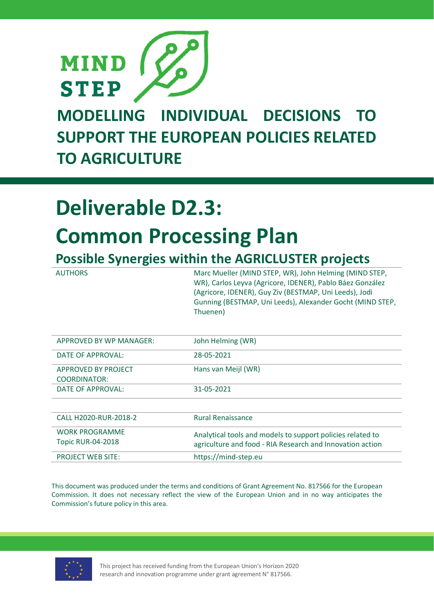

**MODELLING INDIVIDUAL DECISIONS TO SUPPORT THE EUROPEAN POLICIES RELATED TO AGRICULTURE**

# **Deliverable D2.3: Common Processing Plan**

# **Possible Synergies within the AGRICLUSTER projects**

| $\tilde{\phantom{a}}$                             |                                                                                                                                                                                                                                                        |
|---------------------------------------------------|--------------------------------------------------------------------------------------------------------------------------------------------------------------------------------------------------------------------------------------------------------|
| <b>AUTHORS</b>                                    | Marc Mueller (MIND STEP, WR), John Helming (MIND STEP,<br>WR), Carlos Leyva (Agricore, IDENER), Pablo Báez González<br>(Agricore, IDENER), Guy Ziv (BESTMAP, Uni Leeds), Jodi<br>Gunning (BESTMAP, Uni Leeds), Alexander Gocht (MIND STEP,<br>Thuenen) |
| APPROVED BY WP MANAGER:                           | John Helming (WR)                                                                                                                                                                                                                                      |
| DATE OF APPROVAL:                                 | 28-05-2021                                                                                                                                                                                                                                             |
| APPROVED BY PROJECT<br>COORDINATOR:               | Hans van Meijl (WR)                                                                                                                                                                                                                                    |
| DATE OF APPROVAL:                                 | 31-05-2021                                                                                                                                                                                                                                             |
| CALL H2020-RUR-2018-2                             | <b>Rural Renaissance</b>                                                                                                                                                                                                                               |
| <b>WORK PROGRAMME</b><br><b>Topic RUR-04-2018</b> | Analytical tools and models to support policies related to<br>agriculture and food - RIA Research and Innovation action                                                                                                                                |

PROJECT WEB SITE: https://mind-step.eu

This document was produced under the terms and conditions of Grant Agreement No. 817566 for the European Commission. It does not necessary reflect the view of the European Union and in no way anticipates the Commission's future policy in this area.



This project has received funding from the European Union's Horizon 2020 research and innovation programme under grant agreement N° 817566.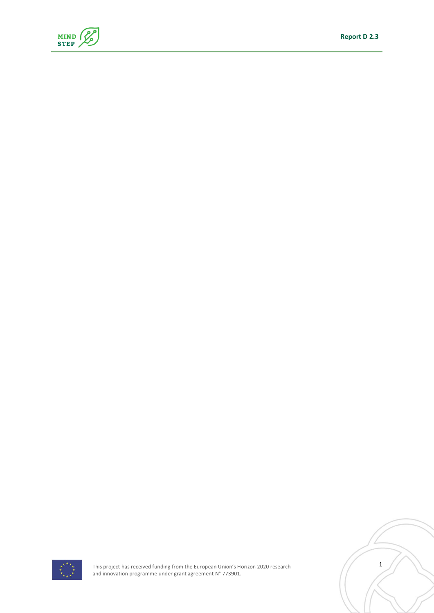





This project has received funding from the European Union's Horizon 2020 research 1 and innovation programme under grant agreement N° 773901.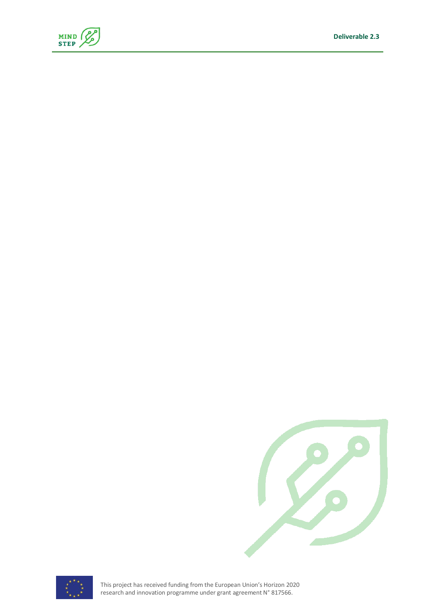





This project has received funding from the European Union's Horizon 2020 research and innovation programme under grant agreement N° 817566.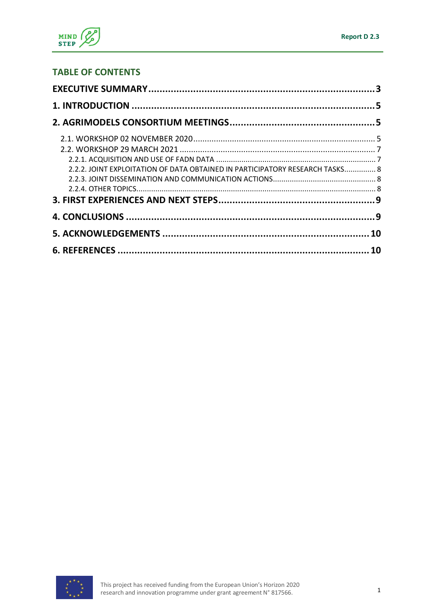

#### **TABLE OF CONTENTS**

| 2.2.2. JOINT EXPLOITATION OF DATA OBTAINED IN PARTICIPATORY RESEARCH TASKS 8 |  |
|------------------------------------------------------------------------------|--|
|                                                                              |  |
|                                                                              |  |
|                                                                              |  |
|                                                                              |  |
|                                                                              |  |
|                                                                              |  |

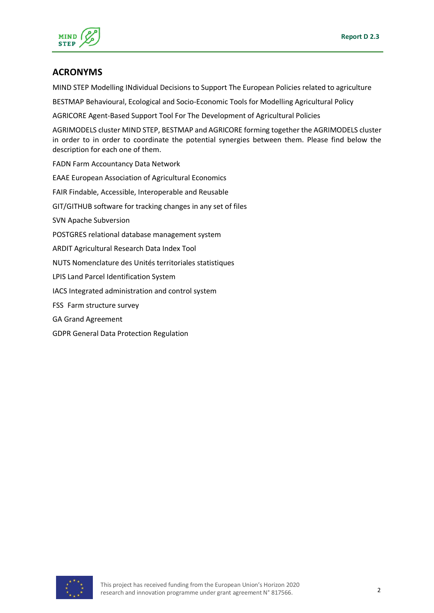



#### **ACRONYMS**

MIND STEP Modelling INdividual Decisions to Support The European Policies related to agriculture

BESTMAP Behavioural, Ecological and Socio-Economic Tools for Modelling Agricultural Policy

AGRICORE Agent-Based Support Tool For The Development of Agricultural Policies

AGRIMODELS cluster MIND STEP, BESTMAP and AGRICORE forming together the AGRIMODELS cluster in order to in order to coordinate the potential synergies between them. Please find below the description for each one of them.

FADN Farm Accountancy Data Network

EAAE European Association of Agricultural Economics

FAIR Findable, Accessible, Interoperable and Reusable

GIT/GITHUB software for tracking changes in any set of files

SVN Apache Subversion

POSTGRES relational database management system

ARDIT Agricultural Research Data Index Tool

NUTS Nomenclature des Unités territoriales statistiques

LPIS Land Parcel Identification System

IACS Integrated administration and control system

FSS Farm structure survey

GA Grand Agreement

GDPR General Data Protection Regulation

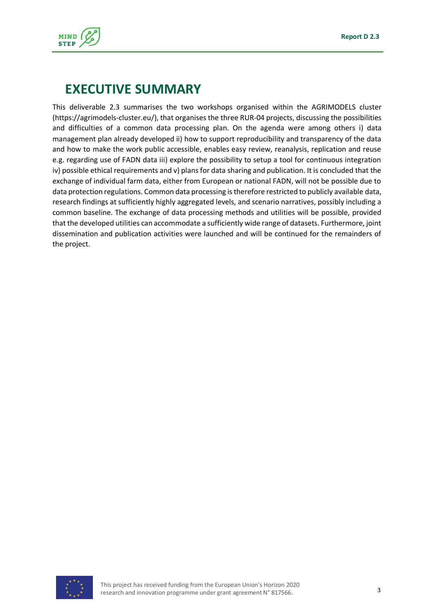

## <span id="page-5-0"></span>**EXECUTIVE SUMMARY**

This deliverable 2.3 summarises the two workshops organised within the AGRIMODELS cluster [\(https://agrimodels-cluster.eu/\)](https://agrimodels-cluster.eu/), that organises the three RUR-04 projects, discussing the possibilities and difficulties of a common data processing plan. On the agenda were among others i) data management plan already developed ii) how to support reproducibility and transparency of the data and how to make the work public accessible, enables easy review, reanalysis, replication and reuse e.g. regarding use of FADN data iii) explore the possibility to setup a tool for continuous integration iv) possible ethical requirements and v) plans for data sharing and publication. It is concluded that the exchange of individual farm data, either from European or national FADN, will not be possible due to data protection regulations. Common data processing is therefore restricted to publicly available data, research findings at sufficiently highly aggregated levels, and scenario narratives, possibly including a common baseline. The exchange of data processing methods and utilities will be possible, provided that the developed utilities can accommodate a sufficiently wide range of datasets. Furthermore, joint dissemination and publication activities were launched and will be continued for the remainders of the project.

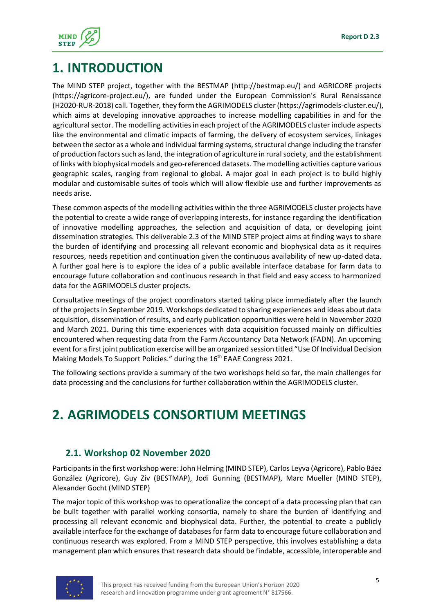

# <span id="page-7-0"></span>**1. INTRODUCTION**

The MIND STEP project, together with the BESTMAP (http://bestmap.eu/) and AGRICORE projects (https://agricore-project.eu/), are funded under the European Commission's Rural Renaissance (H2020-RUR-2018) call. Together, they form the AGRIMODELS cluster (https://agrimodels-cluster.eu/), which aims at developing innovative approaches to increase modelling capabilities in and for the agricultural sector. The modelling activities in each project of the AGRIMODELS cluster include aspects like the environmental and climatic impacts of farming, the delivery of ecosystem services, linkages between the sector as a whole and individual farming systems, structural change including the transfer of production factors such as land, the integration of agriculture in rural society, and the establishment of links with biophysical models and geo-referenced datasets. The modelling activities capture various geographic scales, ranging from regional to global. A major goal in each project is to build highly modular and customisable suites of tools which will allow flexible use and further improvements as needs arise.

These common aspects of the modelling activities within the three AGRIMODELS cluster projects have the potential to create a wide range of overlapping interests, for instance regarding the identification of innovative modelling approaches, the selection and acquisition of data, or developing joint dissemination strategies. This deliverable 2.3 of the MIND STEP project aims at finding ways to share the burden of identifying and processing all relevant economic and biophysical data as it requires resources, needs repetition and continuation given the continuous availability of new up-dated data. A further goal here is to explore the idea of a public available interface database for farm data to encourage future collaboration and continuous research in that field and easy access to harmonized data for the AGRIMODELS cluster projects.

Consultative meetings of the project coordinators started taking place immediately after the launch of the projects in September 2019. Workshops dedicated to sharing experiences and ideas about data acquisition, dissemination of results, and early publication opportunities were held in November 2020 and March 2021. During this time experiences with data acquisition focussed mainly on difficulties encountered when requesting data from the Farm Accountancy Data Network (FADN). An upcoming event for a first joint publication exercise will be an organized session titled "Use Of Individual Decision Making Models To Support Policies." during the 16<sup>th</sup> EAAE Congress 2021.

The following sections provide a summary of the two workshops held so far, the main challenges for data processing and the conclusions for further collaboration within the AGRIMODELS cluster.

## <span id="page-7-1"></span>**2. AGRIMODELS CONSORTIUM MEETINGS**

#### <span id="page-7-2"></span>**2.1. Workshop 02 November 2020**

Participants in the first workshop were: John Helming (MIND STEP), Carlos Leyva (Agricore), Pablo Báez González (Agricore), Guy Ziv (BESTMAP), Jodi Gunning (BESTMAP), Marc Mueller (MIND STEP), Alexander Gocht (MIND STEP)

The major topic of this workshop was to operationalize the concept of a data processing plan that can be built together with parallel working consortia, namely to share the burden of identifying and processing all relevant economic and biophysical data. Further, the potential to create a publicly available interface for the exchange of databases for farm data to encourage future collaboration and continuous research was explored. From a MIND STEP perspective, this involves establishing a data management plan which ensures that research data should be findable, accessible, interoperable and

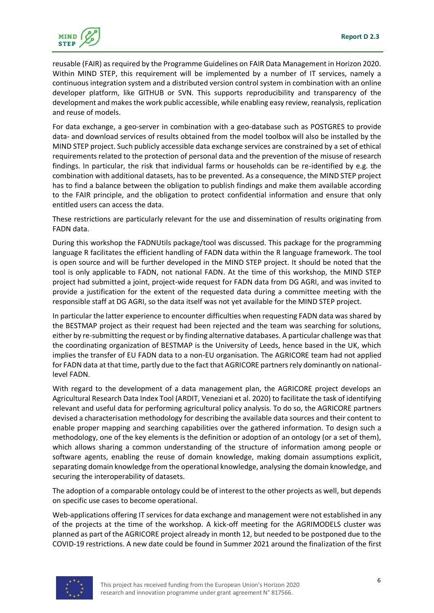

reusable (FAIR) as required by the Programme Guidelines on FAIR Data Management in Horizon 2020. Within MIND STEP, this requirement will be implemented by a number of IT services, namely a continuous integration system and a distributed version control system in combination with an online developer platform, like GITHUB or SVN. This supports reproducibility and transparency of the development and makes the work public accessible, while enabling easy review, reanalysis, replication and reuse of models.

For data exchange, a geo-server in combination with a geo-database such as POSTGRES to provide data- and download services of results obtained from the model toolbox will also be installed by the MIND STEP project. Such publicly accessible data exchange services are constrained by a set of ethical requirements related to the protection of personal data and the prevention of the misuse of research findings. In particular, the risk that individual farms or households can be re-identified by e.g. the combination with additional datasets, has to be prevented. As a consequence, the MIND STEP project has to find a balance between the obligation to publish findings and make them available according to the FAIR principle, and the obligation to protect confidential information and ensure that only entitled users can access the data.

These restrictions are particularly relevant for the use and dissemination of results originating from FADN data.

During this workshop the FADNUtils package/tool was discussed. This package for the programming language R facilitates the efficient handling of FADN data within the R language framework. The tool is open source and will be further developed in the MIND STEP project. It should be noted that the tool is only applicable to FADN, not national FADN. At the time of this workshop, the MIND STEP project had submitted a joint, project-wide request for FADN data from DG AGRI, and was invited to provide a justification for the extent of the requested data during a committee meeting with the responsible staff at DG AGRI, so the data itself was not yet available for the MIND STEP project.

In particular the latter experience to encounter difficulties when requesting FADN data was shared by the BESTMAP project as their request had been rejected and the team was searching for solutions, either by re-submitting the request or by finding alternative databases. A particular challenge was that the coordinating organization of BESTMAP is the University of Leeds, hence based in the UK, which implies the transfer of EU FADN data to a non-EU organisation. The AGRICORE team had not applied for FADN data at that time, partly due to the fact that AGRICORE partners rely dominantly on nationallevel FADN.

With regard to the development of a data management plan, the AGRICORE project develops an Agricultural Research Data Index Tool (ARDIT, Veneziani et al. 2020) to facilitate the task of identifying relevant and useful data for performing agricultural policy analysis. To do so, the AGRICORE partners devised a characterisation methodology for describing the available data sources and their content to enable proper mapping and searching capabilities over the gathered information. To design such a methodology, one of the key elements is the definition or adoption of an ontology (or a set of them), which allows sharing a common understanding of the structure of information among people or software agents, enabling the reuse of domain knowledge, making domain assumptions explicit, separating domain knowledge from the operational knowledge, analysing the domain knowledge, and securing the interoperability of datasets.

The adoption of a comparable ontology could be of interest to the other projects as well, but depends on specific use cases to become operational.

Web-applications offering IT services for data exchange and management were not established in any of the projects at the time of the workshop. A kick-off meeting for the AGRIMODELS cluster was planned as part of the AGRICORE project already in month 12, but needed to be postponed due to the COVID-19 restrictions. A new date could be found in Summer 2021 around the finalization of the first

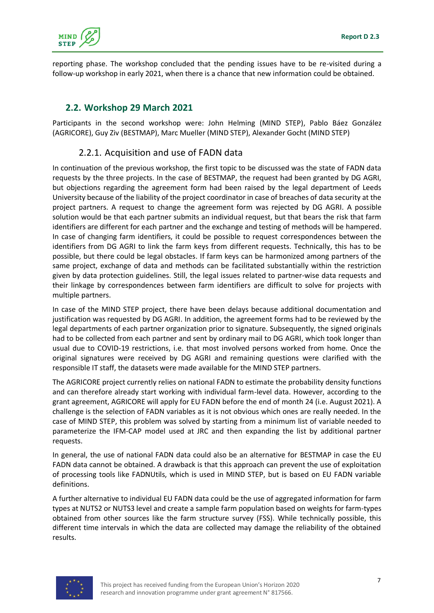

reporting phase. The workshop concluded that the pending issues have to be re-visited during a follow-up workshop in early 2021, when there is a chance that new information could be obtained.

#### <span id="page-9-0"></span>**2.2. Workshop 29 March 2021**

Participants in the second workshop were: John Helming (MIND STEP), Pablo Báez González (AGRICORE), Guy Ziv (BESTMAP), Marc Mueller (MIND STEP), Alexander Gocht (MIND STEP)

#### 2.2.1. Acquisition and use of FADN data

<span id="page-9-1"></span>In continuation of the previous workshop, the first topic to be discussed was the state of FADN data requests by the three projects. In the case of BESTMAP, the request had been granted by DG AGRI, but objections regarding the agreement form had been raised by the legal department of Leeds University because of the liability of the project coordinator in case of breaches of data security at the project partners. A request to change the agreement form was rejected by DG AGRI. A possible solution would be that each partner submits an individual request, but that bears the risk that farm identifiers are different for each partner and the exchange and testing of methods will be hampered. In case of changing farm identifiers, it could be possible to request correspondences between the identifiers from DG AGRI to link the farm keys from different requests. Technically, this has to be possible, but there could be legal obstacles. If farm keys can be harmonized among partners of the same project, exchange of data and methods can be facilitated substantially within the restriction given by data protection guidelines. Still, the legal issues related to partner-wise data requests and their linkage by correspondences between farm identifiers are difficult to solve for projects with multiple partners.

In case of the MIND STEP project, there have been delays because additional documentation and justification was requested by DG AGRI. In addition, the agreement forms had to be reviewed by the legal departments of each partner organization prior to signature. Subsequently, the signed originals had to be collected from each partner and sent by ordinary mail to DG AGRI, which took longer than usual due to COVID-19 restrictions, i.e. that most involved persons worked from home. Once the original signatures were received by DG AGRI and remaining questions were clarified with the responsible IT staff, the datasets were made available for the MIND STEP partners.

The AGRICORE project currently relies on national FADN to estimate the probability density functions and can therefore already start working with individual farm-level data. However, according to the grant agreement, AGRICORE will apply for EU FADN before the end of month 24 (i.e. August 2021). A challenge is the selection of FADN variables as it is not obvious which ones are really needed. In the case of MIND STEP, this problem was solved by starting from a minimum list of variable needed to parameterize the IFM-CAP model used at JRC and then expanding the list by additional partner requests.

In general, the use of national FADN data could also be an alternative for BESTMAP in case the EU FADN data cannot be obtained. A drawback is that this approach can prevent the use of exploitation of processing tools like FADNUtils, which is used in MIND STEP, but is based on EU FADN variable definitions.

A further alternative to individual EU FADN data could be the use of aggregated information for farm types at NUTS2 or NUTS3 level and create a sample farm population based on weights for farm-types obtained from other sources like the farm structure survey (FSS). While technically possible, this different time intervals in which the data are collected may damage the reliability of the obtained results.

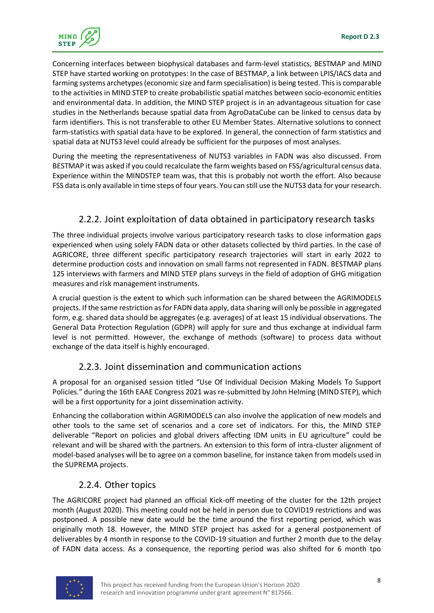

Concerning interfaces between biophysical databases and farm-level statistics, BESTMAP and MIND STEP have started working on prototypes: In the case of BESTMAP, a link between LPIS/IACS data and farming systems archetypes (economic size and farm specialisation) is being tested. This is comparable to the activities in MIND STEP to create probabilistic spatial matches between socio-economic entities and environmental data. In addition, the MIND STEP project is in an advantageous situation for case studies in the Netherlands because spatial data from AgroDataCube can be linked to census data by farm identifiers. This is not transferable to other EU Member States. Alternative solutions to connect farm-statistics with spatial data have to be explored. In general, the connection of farm statistics and spatial data at NUTS3 level could already be sufficient for the purposes of most analyses.

During the meeting the representativeness of NUTS3 variables in FADN was also discussed. From BESTMAP it was asked if you could recalculate the farm weights based on FSS/agricultural census data. Experience within the MINDSTEP team was, that this is probably not worth the effort. Also because FSS data is only available in time steps of four years. You can still use the NUTS3 data for your research.

#### 2.2.2. Joint exploitation of data obtained in participatory research tasks

<span id="page-10-0"></span>The three individual projects involve various participatory research tasks to close information gaps experienced when using solely FADN data or other datasets collected by third parties. In the case of AGRICORE, three different specific participatory research trajectories will start in early 2022 to determine production costs and innovation on small farms not represented in FADN. BESTMAP plans 125 interviews with farmers and MIND STEP plans surveys in the field of adoption of GHG mitigation measures and risk management instruments.

A crucial question is the extent to which such information can be shared between the AGRIMODELS projects. If the same restriction as for FADN data apply, data sharing will only be possible in aggregated form, e.g. shared data should be aggregates (e.g. averages) of at least 15 individual observations. The General Data Protection Regulation (GDPR) will apply for sure and thus exchange at individual farm level is not permitted. However, the exchange of methods (software) to process data without exchange of the data itself is highly encouraged.

#### 2.2.3. Joint dissemination and communication actions

<span id="page-10-1"></span>A proposal for an organised session titled "Use Of Individual Decision Making Models To Support Policies." during the 16th EAAE Congress 2021 was re-submitted by John Helming (MIND STEP), which will be a first opportunity for a joint dissemination activity.

Enhancing the collaboration within AGRIMODELS can also involve the application of new models and other tools to the same set of scenarios and a core set of indicators. For this, the MIND STEP deliverable "Report on policies and global drivers affecting IDM units in EU agriculture" could be relevant and will be shared with the partners. An extension to this form of intra-cluster alignment of model-based analyses will be to agree on a common baseline, for instance taken from models used in the SUPREMA projects.

#### 2.2.4. Other topics

<span id="page-10-2"></span>The AGRICORE project had planned an official Kick-off meeting of the cluster for the 12th project month (August 2020). This meeting could not be held in person due to COVID19 restrictions and was postponed. A possible new date would be the time around the first reporting period, which was originally moth 18. However, the MIND STEP project has asked for a general postponement of deliverables by 4 month in response to the COVID-19 situation and further 2 month due to the delay of FADN data access. As a consequence, the reporting period was also shifted for 6 month tpo

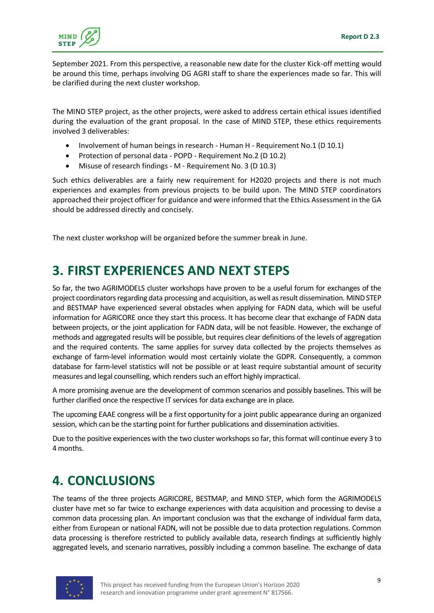

September 2021. From this perspective, a reasonable new date for the cluster Kick-off metting would be around this time, perhaps involving DG AGRI staff to share the experiences made so far. This will be clarified during the next cluster workshop.

The MIND STEP project, as the other projects, were asked to address certain ethical issues identified during the evaluation of the grant proposal. In the case of MIND STEP, these ethics requirements involved 3 deliverables:

- Involvement of human beings in research Human H Requirement No.1 (D 10.1)
- Protection of personal data POPD Requirement No.2 (D 10.2)
- Misuse of research findings M Requirement No. 3 (D 10.3)

Such ethics deliverables are a fairly new requirement for H2020 projects and there is not much experiences and examples from previous projects to be build upon. The MIND STEP coordinators approached their project officer for guidance and were informed that the Ethics Assessment in the GA should be addressed directly and concisely.

The next cluster workshop will be organized before the summer break in June.

# <span id="page-11-0"></span>**3. FIRST EXPERIENCES AND NEXT STEPS**

So far, the two AGRIMODELS cluster workshops have proven to be a useful forum for exchanges of the project coordinators regarding data processing and acquisition, as well as result dissemination. MIND STEP and BESTMAP have experienced several obstacles when applying for FADN data, which will be useful information for AGRICORE once they start this process. It has become clear that exchange of FADN data between projects, or the joint application for FADN data, will be not feasible. However, the exchange of methods and aggregated results will be possible, but requires clear definitions of the levels of aggregation and the required contents. The same applies for survey data collected by the projects themselves as exchange of farm-level information would most certainly violate the GDPR. Consequently, a common database for farm-level statistics will not be possible or at least require substantial amount of security measures and legal counselling, which renders such an effort highly impractical.

A more promising avenue are the development of common scenarios and possibly baselines. This will be further clarified once the respective IT services for data exchange are in place.

The upcoming EAAE congress will be a first opportunity for a joint public appearance during an organized session, which can be the starting point for further publications and dissemination activities.

Due to the positive experiences with the two cluster workshops so far, this format will continue every 3 to 4 months.

### <span id="page-11-1"></span>**4. CONCLUSIONS**

The teams of the three projects AGRICORE, BESTMAP, and MIND STEP, which form the AGRIMODELS cluster have met so far twice to exchange experiences with data acquisition and processing to devise a common data processing plan. An important conclusion was that the exchange of individual farm data, either from European or national FADN, will not be possible due to data protection regulations. Common data processing is therefore restricted to publicly available data, research findings at sufficiently highly aggregated levels, and scenario narratives, possibly including a common baseline. The exchange of data